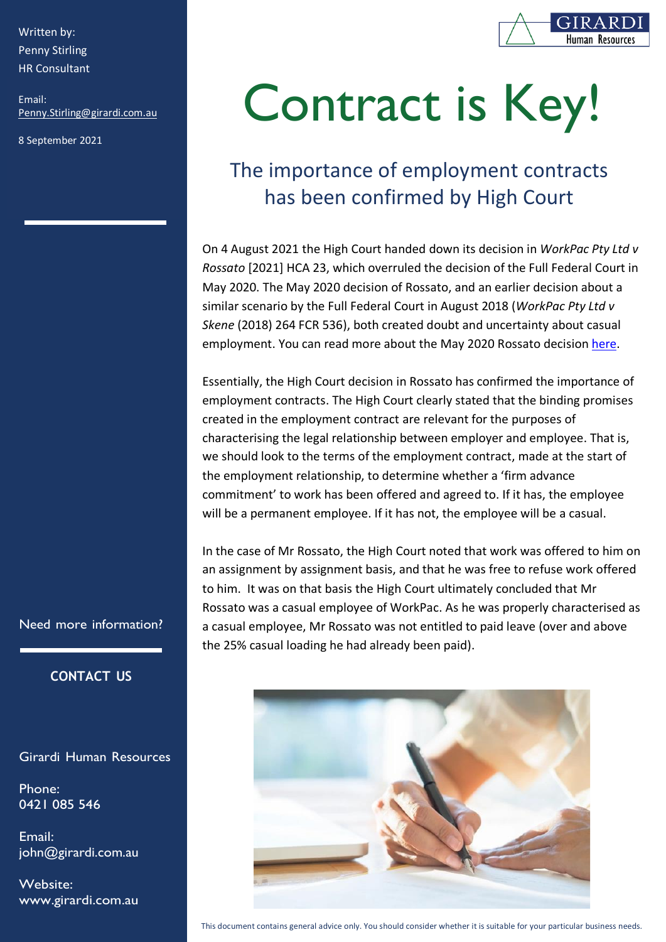Written by: Penny Stirling HR Consultant

[Penny.Stirling@girardi.com.au](mailto:Penny.Stirling@girardi.com.au) Email:

8 September 2021



# Contract is Key!

## The importance of The importance of employment contracts has been confirmed by High Court

On 4 August 2021 the High Court handed down its decision in *WorkPac Pty Ltd v Rossato* [2021] HCA 23, which overruled the decision of the Full Federal Court in<br>May 2020, The May 2020 decision of Peasets, and an equitan decision about a May 2020. The May 2020 decision of Rossato, and an earlier decision about a similar scenario by the Full Federal Court in August 2018 (*WorkPac Pty Ltd v Skene* (2018) 264 FCR 536), both created doubt and uncertainty about casual employment. You can read more about the May 2020 Rossato decision [here.](https://www.girardi.com.au/the-casual-employment-crisis/)

Essentially, the High Court decision in Rossato has confirmed the importance of employment contracts. The High Court clearly stated that the binding promises created in the employment contract are relevant for the purposes of characterising the legal relationship between employer and employee. That is, we should look to the terms of the employment contract, made at the start of the employment relationship, to determine whether a 'firm advance commitment' to work has been offered and agreed to. If it has, the employee will be a permanent employee. If it has not, the employee will be a casual.

In the case of Mr Rossato, the High Court noted that work was offered to him on an assignment by assignment basis, and that he was free to refuse work offered to him. It was on that basis the High Court ultimately concluded that Mr Rossato was a casual employee of WorkPac. As he was properly characterised as a casual employee, Mr Rossato was not entitled to paid leave (over and above the 25% casual loading he had already been paid).



Need more information?

#### **CONTACT US**

Girardi Human Resources

Phone: 0421 085 546

Email: [john@girardi.com.au](mailto:john@girardi.com.au)

Website: [www.girardi.com.au](http://www.girardi.com.au/)

This document contains general advice only. You should consider whether it is suitable for your particular business needs.